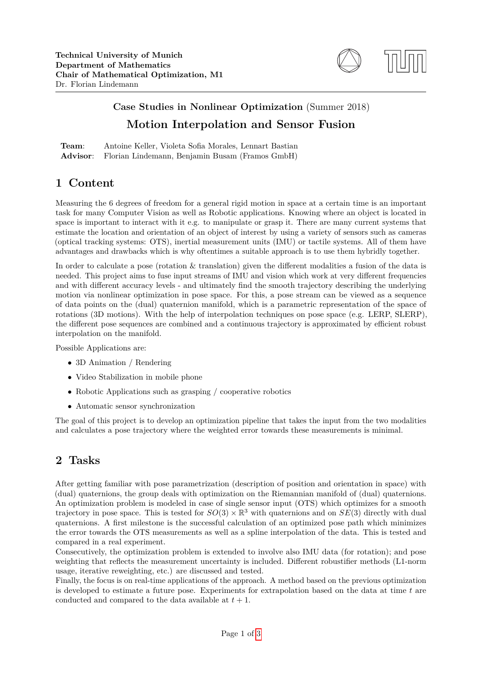

# **Case Studies in Nonlinear Optimization** (Summer 2018) **Motion Interpolation and Sensor Fusion**

| Team: | Antoine Keller, Violeta Sofia Morales, Lennart Bastian   |
|-------|----------------------------------------------------------|
|       | Advisor: Florian Lindemann, Benjamin Busam (Framos GmbH) |

#### **1 Content**

Measuring the 6 degrees of freedom for a general rigid motion in space at a certain time is an important task for many Computer Vision as well as Robotic applications. Knowing where an object is located in space is important to interact with it e.g. to manipulate or grasp it. There are many current systems that estimate the location and orientation of an object of interest by using a variety of sensors such as cameras (optical tracking systems: OTS), inertial measurement units (IMU) or tactile systems. All of them have advantages and drawbacks which is why oftentimes a suitable approach is to use them hybridly together.

In order to calculate a pose (rotation & translation) given the different modalities a fusion of the data is needed. This project aims to fuse input streams of IMU and vision which work at very different frequencies and with different accuracy levels - and ultimately find the smooth trajectory describing the underlying motion via nonlinear optimization in pose space. For this, a pose stream can be viewed as a sequence of data points on the (dual) quaternion manifold, which is a parametric representation of the space of rotations (3D motions). With the help of interpolation techniques on pose space (e.g. LERP, SLERP), the different pose sequences are combined and a continuous trajectory is approximated by efficient robust interpolation on the manifold.

Possible Applications are:

- 3D Animation / Rendering
- Video Stabilization in mobile phone
- Robotic Applications such as grasping / cooperative robotics
- Automatic sensor synchronization

The goal of this project is to develop an optimization pipeline that takes the input from the two modalities and calculates a pose trajectory where the weighted error towards these measurements is minimal.

### **2 Tasks**

After getting familiar with pose parametrization (description of position and orientation in space) with (dual) quaternions, the group deals with optimization on the Riemannian manifold of (dual) quaternions. An optimization problem is modeled in case of single sensor input (OTS) which optimizes for a smooth trajectory in pose space. This is tested for  $SO(3) \times \mathbb{R}^3$  with quaternions and on  $SE(3)$  directly with dual quaternions. A first milestone is the successful calculation of an optimized pose path which minimizes the error towards the OTS measurements as well as a spline interpolation of the data. This is tested and compared in a real experiment.

Consecutively, the optimization problem is extended to involve also IMU data (for rotation); and pose weighting that reflects the measurement uncertainty is included. Different robustifier methods (L1-norm usage, iterative reweighting, etc.) are discussed and tested.

Finally, the focus is on real-time applications of the approach. A method based on the previous optimization is developed to estimate a future pose. Experiments for extrapolation based on the data at time *t* are conducted and compared to the data available at  $t + 1$ .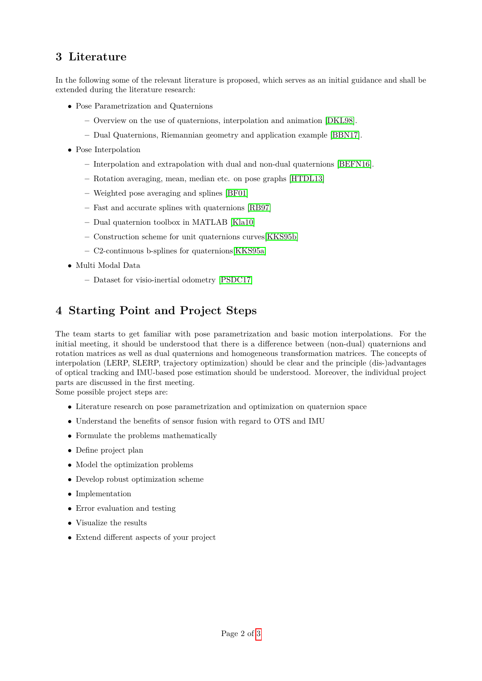### **3 Literature**

In the following some of the relevant literature is proposed, which serves as an initial guidance and shall be extended during the literature research:

- Pose Parametrization and Quaternions
	- **–** Overview on the use of quaternions, interpolation and animation [\[DKL98\]](#page-2-1).
	- **–** Dual Quaternions, Riemannian geometry and application example [\[BBN17\]](#page-2-2).
- Pose Interpolation
	- **–** Interpolation and extrapolation with dual and non-dual quaternions [\[BEFN16\]](#page-2-3).
	- **–** Rotation averaging, mean, median etc. on pose graphs [\[HTDL13\]](#page-2-4)
	- **–** Weighted pose averaging and splines [\[BF01\]](#page-2-5)
	- **–** Fast and accurate splines with quaternions [\[RB97\]](#page-2-6)
	- **–** Dual quaternion toolbox in MATLAB [\[Kla10\]](#page-2-7)
	- **–** Construction scheme for unit quaternions curves[\[KKS95b\]](#page-2-8)
	- **–** C2-continuous b-splines for quaternions[\[KKS95a\]](#page-2-9)
- Multi Modal Data
	- **–** Dataset for visio-inertial odometry [\[PSDC17\]](#page-2-10)

## **4 Starting Point and Project Steps**

The team starts to get familiar with pose parametrization and basic motion interpolations. For the initial meeting, it should be understood that there is a difference between (non-dual) quaternions and rotation matrices as well as dual quaternions and homogeneous transformation matrices. The concepts of interpolation (LERP, SLERP, trajectory optimization) should be clear and the principle (dis-)advantages of optical tracking and IMU-based pose estimation should be understood. Moreover, the individual project parts are discussed in the first meeting.

Some possible project steps are:

- Literature research on pose parametrization and optimization on quaternion space
- Understand the benefits of sensor fusion with regard to OTS and IMU
- Formulate the problems mathematically
- Define project plan
- Model the optimization problems
- Develop robust optimization scheme
- Implementation
- Error evaluation and testing
- Visualize the results
- Extend different aspects of your project